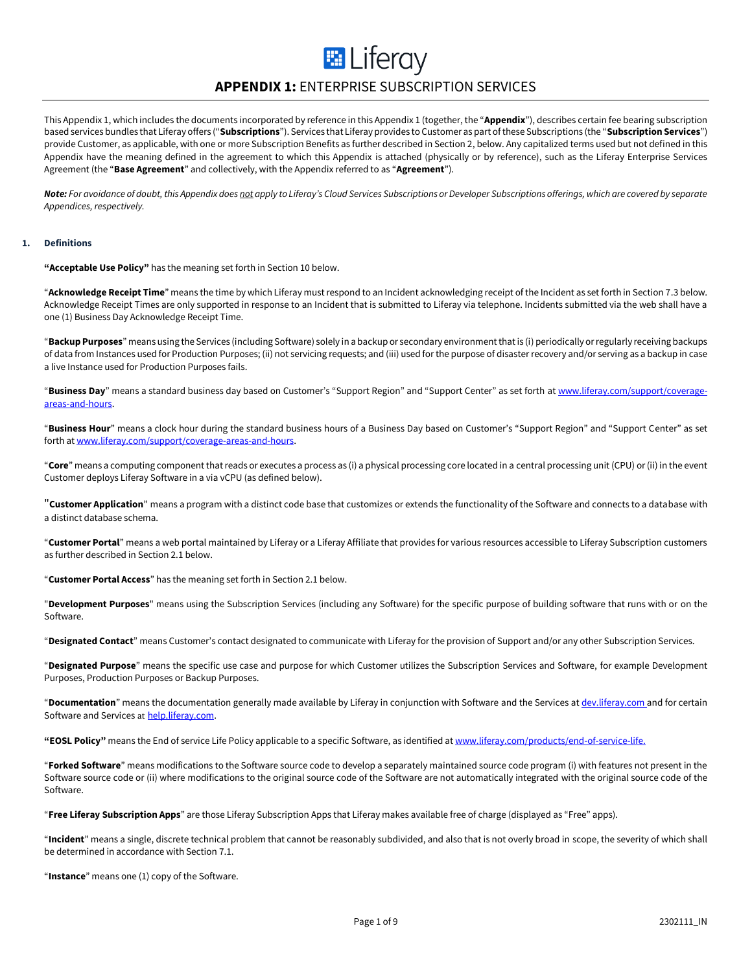# **E** Liferay

### **APPENDIX 1:** ENTERPRISE SUBSCRIPTION SERVICES

This Appendix 1, which includes the documents incorporated by reference in this Appendix 1 (together, the "**Appendix**"), describes certain fee bearing subscription based services bundles that Liferay offers ("**Subscriptions**"). Services that Liferay provides to Customer as part of these Subscriptions (the "**Subscription Services**") provide Customer, as applicable, with one or more Subscription Benefits as further described in Section 2, below. Any capitalized terms used but not defined in this Appendix have the meaning defined in the agreement to which this Appendix is attached (physically or by reference), such as the Liferay Enterprise Services Agreement (the "**Base Agreement**" and collectively, with the Appendix referred to as "**Agreement**").

*Note: For avoidance of doubt, this Appendix does not apply to Liferay's Cloud Services Subscriptions or Developer Subscriptions offerings, which are covered by separate Appendices, respectively.*

#### **1. Definitions**

**"Acceptable Use Policy"** has the meaning set forth in Section 10 below.

"**Acknowledge Receipt Time**" means the time by which Liferay must respond to an Incident acknowledging receipt of the Incident as set forth in Section 7.3 below. Acknowledge Receipt Times are only supported in response to an Incident that is submitted to Liferay via telephone. Incidents submitted via the web shall have a one (1) Business Day Acknowledge Receipt Time.

"**BackupPurposes**" means using the Services (including Software) solely in a backup or secondary environment that is (i) periodically or regularly receiving backups of data from Instances used for Production Purposes; (ii) not servicing requests; and (iii) used for the purpose of disaster recovery and/or serving as a backup in case a live Instance used for Production Purposes fails.

"**Business Day**" means a standard business day based on Customer's "Support Region" and "Support Center" as set forth a[t www.liferay.com/support/coverage](http://www.liferay.com/support/coverage-areas-and-hours)[areas-and-hours.](http://www.liferay.com/support/coverage-areas-and-hours)

"**Business Hour**" means a clock hour during the standard business hours of a Business Day based on Customer's "Support Region" and "Support Center" as set forth a[t www.liferay.com/support/coverage-areas-and-hours.](http://www.liferay.com/support/coverage-areas-and-hours)

"**Core**" means a computing component that reads or executes a process as (i) a physical processing core located in a central processing unit (CPU) or (ii) in the event Customer deploys Liferay Software in a via vCPU (as defined below).

"**Customer Application**" means a program with a distinct code base that customizes or extends the functionality of the Software and connects to a database with a distinct database schema.

"**Customer Portal**" means a web portal maintained by Liferay or a Liferay Affiliate that provides for various resources accessible to Liferay Subscription customers as further described in Section 2.1 below.

"**Customer Portal Access**" has the meaning set forth in Section 2.1 below.

"**Development Purposes**" means using the Subscription Services (including any Software) for the specific purpose of building software that runs with or on the Software.

"**Designated Contact**" means Customer's contact designated to communicate with Liferay for the provision of Support and/or any other Subscription Services.

"**Designated Purpose**" means the specific use case and purpose for which Customer utilizes the Subscription Services and Software, for example Development Purposes, Production Purposes or Backup Purposes.

"**Documentation**" means the documentation generally made available by Liferay in conjunction with Software and the Services at [dev.liferay.com](file:///C:/Users/olga.ernst/Documents/in.liferay.com/Legal%20Internal/Base%20Agreements/Enterprise%20Services%20Agreement%20(ESA)/Appendix%201%20(Subscription%20Services)/Revisions/v1.3.0%20(1301605)/dev.liferay.com) and for certain Software and Services at help.liferay.com.

**"EOSL Policy"** means the End of service Life Policy applicable to a specific Software, as identified a[t www.liferay.com/products/end-of-service-life.](https://www.liferay.com/products/end-of-service-life)

"**Forked Software**" means modifications to the Software source code to develop a separately maintained source code program (i) with features not present in the Software source code or (ii) where modifications to the original source code of the Software are not automatically integrated with the original source code of the Software.

"**Free Liferay Subscription Apps**" are those Liferay Subscription Apps that Liferay makes available free of charge (displayed as "Free" apps).

"**Incident**" means a single, discrete technical problem that cannot be reasonably subdivided, and also that is not overly broad in scope, the severity of which shall be determined in accordance with Section 7.1.

"**Instance**" means one (1) copy of the Software.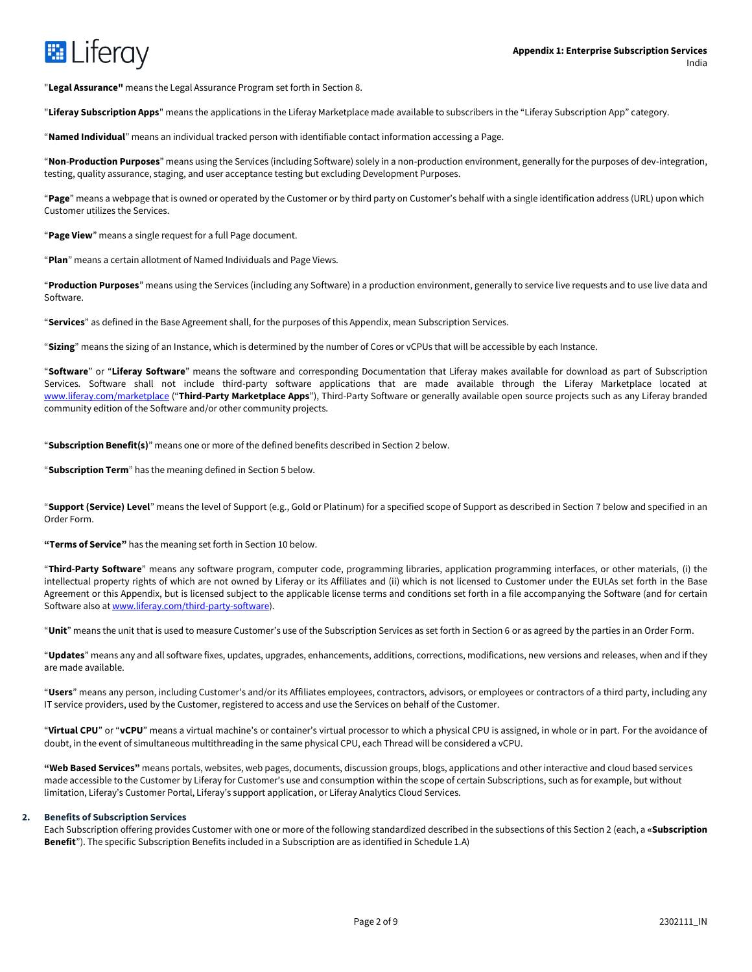

"**Legal Assurance"** means the Legal Assurance Program set forth in Section 8.

"**Liferay Subscription Apps**" means the applications in the Liferay Marketplace made available to subscribers in the "Liferay Subscription App" category.

"**Named Individual**" means an individual tracked person with identifiable contact information accessing a Page.

"**Non**-**Production Purposes**" means using the Services (including Software) solely in a non-production environment, generally for the purposes of dev-integration, testing, quality assurance, staging, and user acceptance testing but excluding Development Purposes.

"**Page**" means a webpage that is owned or operated by the Customer or by third party on Customer's behalf with a single identification address (URL) upon which Customer utilizes the Services.

"**Page View**" means a single request for a full Page document.

"**Plan**" means a certain allotment of Named Individuals and Page Views.

"**Production Purposes**" means using the Services (including any Software) in a production environment, generally to service live requests and to use live data and Software.

"**Services**" as defined in the Base Agreement shall, for the purposes of this Appendix, mean Subscription Services.

"**Sizing**" means the sizing of an Instance, which is determined by the number of Cores or vCPUs that will be accessible by each Instance.

"**Software**" or "**Liferay Software**" means the software and corresponding Documentation that Liferay makes available for download as part of Subscription Services. Software shall not include third-party software applications that are made available through the Liferay Marketplace located at [www.liferay.com/marketplace](http://www.liferay.com/marketplace) ("**Third-Party Marketplace Apps**"), Third-Party Software or generally available open source projects such as any Liferay branded community edition of the Software and/or other community projects.

"**Subscription Benefit(s)**" means one or more of the defined benefits described in Section 2 below.

"**Subscription Term**" has the meaning defined in Section 5 below.

"**Support (Service) Level**" means the level of Support (e.g., Gold or Platinum) for a specified scope of Support as described in Section 7 below and specified in an Order Form.

**"Terms of Service"** has the meaning set forth in Section 10 below.

"**Third-Party Software**" means any software program, computer code, programming libraries, application programming interfaces, or other materials, (i) the intellectual property rights of which are not owned by Liferay or its Affiliates and (ii) which is not licensed to Customer under the EULAs set forth in the Base Agreement or this Appendix, but is licensed subject to the applicable license terms and conditions set forth in a file accompanying the Software (and for certain Software also at [www.liferay.com/third-party-software\)](http://www.liferay.com/third-party-software).

"**Unit**" means the unit that is used to measure Customer's use of the Subscription Services as set forth in Section 6 or as agreed by the parties in an Order Form.

"**Updates**" means any and all software fixes, updates, upgrades, enhancements, additions, corrections, modifications, new versions and releases, when and if they are made available.

"**Users**" means any person, including Customer's and/or its Affiliates employees, contractors, advisors, or employees or contractors of a third party, including any IT service providers, used by the Customer, registered to access and use the Services on behalf of the Customer.

"**Virtual CPU**" or "**vCPU**" means a virtual machine's or container's virtual processor to which a physical CPU is assigned, in whole or in part. For the avoidance of doubt, in the event of simultaneous multithreading in the same physical CPU, each Thread will be considered a vCPU.

**"Web Based Services"** means portals, websites, web pages, documents, discussion groups, blogs, applications and other interactive and cloud based services made accessible to the Customer by Liferay for Customer's use and consumption within the scope of certain Subscriptions, such as for example, but without limitation, Liferay's Customer Portal, Liferay's support application, or Liferay Analytics Cloud Services.

#### **2. Benefits of Subscription Services**

Each Subscription offering provides Customer with one or more of the following standardized described in the subsections of this Section 2 (each, a **«Subscription Benefit**"). The specific Subscription Benefits included in a Subscription are as identified in Schedule 1.A)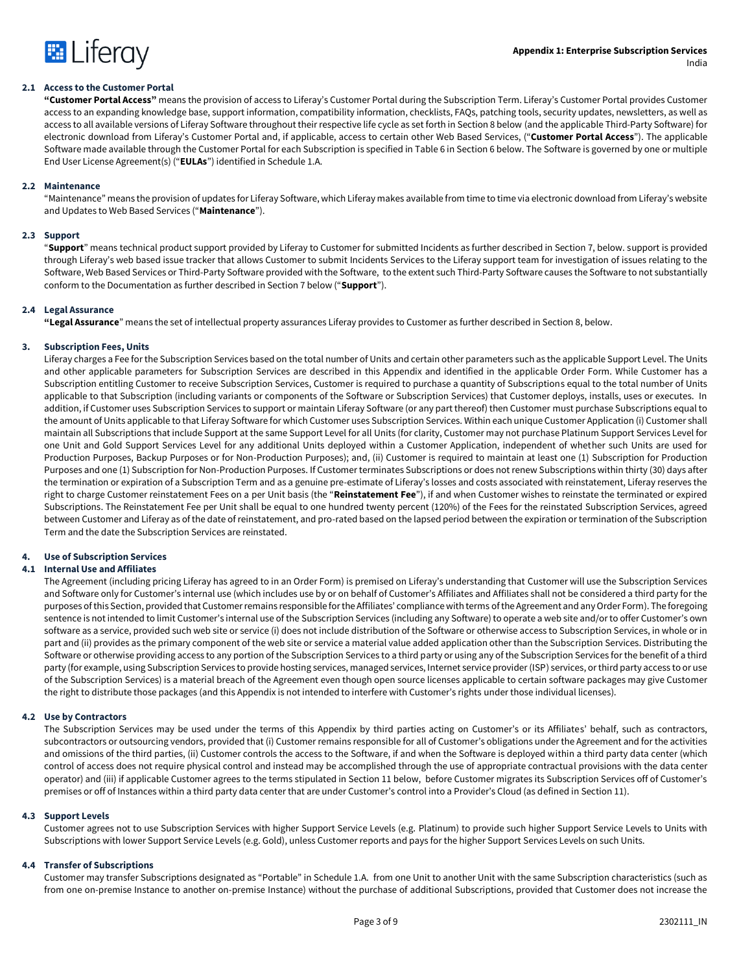

#### **2.1 Access to the Customer Portal**

**"Customer Portal Access"** means the provision of access to Liferay's Customer Portal during the Subscription Term. Liferay's Customer Portal provides Customer access to an expanding knowledge base, support information, compatibility information, checklists, FAQs, patching tools, security updates, newsletters, as well as access to all available versions of Liferay Software throughout their respective life cycle as set forth in Section 8 below (and the applicable Third-Party Software) for electronic download from Liferay's Customer Portal and, if applicable, access to certain other Web Based Services, ("**Customer Portal Access**"). The applicable Software made available through the Customer Portal for each Subscription is specified in Table 6 in Section 6 below. The Software is governed by one or multiple End User License Agreement(s) ("**EULAs**") identified in Schedule 1.A.

#### **2.2 Maintenance**

"Maintenance" means the provision of updates for Liferay Software, which Liferay makes available from time to time via electronic download from Liferay's website and Updates to Web Based Services ("**Maintenance**").

#### **2.3 Support**

"**Support**" means technical product support provided by Liferay to Customer for submitted Incidents as further described in Section 7, below. support is provided through Liferay's web based issue tracker that allows Customer to submit Incidents Services to the Liferay support team for investigation of issues relating to the Software, Web Based Services or Third-Party Software provided with the Software, to the extent such Third-Party Software causes the Software to not substantially conform to the Documentation as further described in Section 7 below ("**Support**").

#### **2.4 Legal Assurance**

**"Legal Assurance**" means the set of intellectual property assurances Liferay provides to Customer as further described in Section 8, below.

#### **3. Subscription Fees, Units**

Liferay charges a Fee for the Subscription Services based on the total number of Units and certain other parameters such as the applicable Support Level. The Units and other applicable parameters for Subscription Services are described in this Appendix and identified in the applicable Order Form. While Customer has a Subscription entitling Customer to receive Subscription Services, Customer is required to purchase a quantity of Subscriptions equal to the total number of Units applicable to that Subscription (including variants or components of the Software or Subscription Services) that Customer deploys, installs, uses or executes. In addition, if Customer uses Subscription Services to support or maintain Liferay Software (or any part thereof) then Customer must purchase Subscriptions equal to the amount of Units applicable to that Liferay Software for which Customer uses Subscription Services. Within each unique Customer Application (i) Customer shall maintain all Subscriptions that include Support at the same Support Level for all Units (for clarity, Customer may not purchase Platinum Support Services Level for one Unit and Gold Support Services Level for any additional Units deployed within a Customer Application, independent of whether such Units are used for Production Purposes, Backup Purposes or for Non-Production Purposes); and, (ii) Customer is required to maintain at least one (1) Subscription for Production Purposes and one (1) Subscription for Non-Production Purposes. If Customer terminates Subscriptions or does not renew Subscriptions within thirty (30) days after the termination or expiration of a Subscription Term and as a genuine pre-estimate of Liferay's losses and costs associated with reinstatement, Liferay reserves the right to charge Customer reinstatement Fees on a per Unit basis (the "**Reinstatement Fee**"), if and when Customer wishes to reinstate the terminated or expired Subscriptions. The Reinstatement Fee per Unit shall be equal to one hundred twenty percent (120%) of the Fees for the reinstated Subscription Services, agreed between Customer and Liferay as of the date of reinstatement, and pro-rated based on the lapsed period between the expiration or termination of the Subscription Term and the date the Subscription Services are reinstated.

#### **4. Use of Subscription Services**

#### **4.1 Internal Use and Affiliates**

The Agreement (including pricing Liferay has agreed to in an Order Form) is premised on Liferay's understanding that Customer will use the Subscription Services and Software only for Customer's internal use (which includes use by or on behalf of Customer's Affiliates and Affiliates shall not be considered a third party for the purposes of this Section, provided that Customer remains responsible for the Affiliates' compliance with terms of the Agreement and any Order Form). The foregoing sentence is not intended to limit Customer's internal use of the Subscription Services (including any Software) to operate a web site and/or to offer Customer's own software as a service, provided such web site or service (i) does not include distribution of the Software or otherwise access to Subscription Services, in whole or in part and (ii) provides as the primary component of the web site or service a material value added application other than the Subscription Services. Distributing the Software or otherwise providing access to any portion of the Subscription Services to a third party or using any of the Subscription Services for the benefit of a third party (for example, using Subscription Services to provide hosting services, managed services, Internet service provider (ISP) services, or third party access to or use of the Subscription Services) is a material breach of the Agreement even though open source licenses applicable to certain software packages may give Customer the right to distribute those packages (and this Appendix is not intended to interfere with Customer's rights under those individual licenses).

#### **4.2 Use by Contractors**

The Subscription Services may be used under the terms of this Appendix by third parties acting on Customer's or its Affiliates' behalf, such as contractors, subcontractors or outsourcing vendors, provided that (i) Customer remains responsible for all of Customer's obligations under the Agreement and for the activities and omissions of the third parties, (ii) Customer controls the access to the Software, if and when the Software is deployed within a third party data center (which control of access does not require physical control and instead may be accomplished through the use of appropriate contractual provisions with the data center operator) and (iii) if applicable Customer agrees to the terms stipulated in Section 11 below, before Customer migrates its Subscription Services off of Customer's premises or off of Instances within a third party data center that are under Customer's control into a Provider's Cloud (as defined in Section 11).

#### **4.3 Support Levels**

Customer agrees not to use Subscription Services with higher Support Service Levels (e.g. Platinum) to provide such higher Support Service Levels to Units with Subscriptions with lower Support Service Levels (e.g. Gold), unless Customer reports and pays for the higher Support Services Levels on such Units.

#### **4.4 Transfer of Subscriptions**

Customer may transfer Subscriptions designated as "Portable" in Schedule 1.A. from one Unit to another Unit with the same Subscription characteristics (such as from one on-premise Instance to another on-premise Instance) without the purchase of additional Subscriptions, provided that Customer does not increase the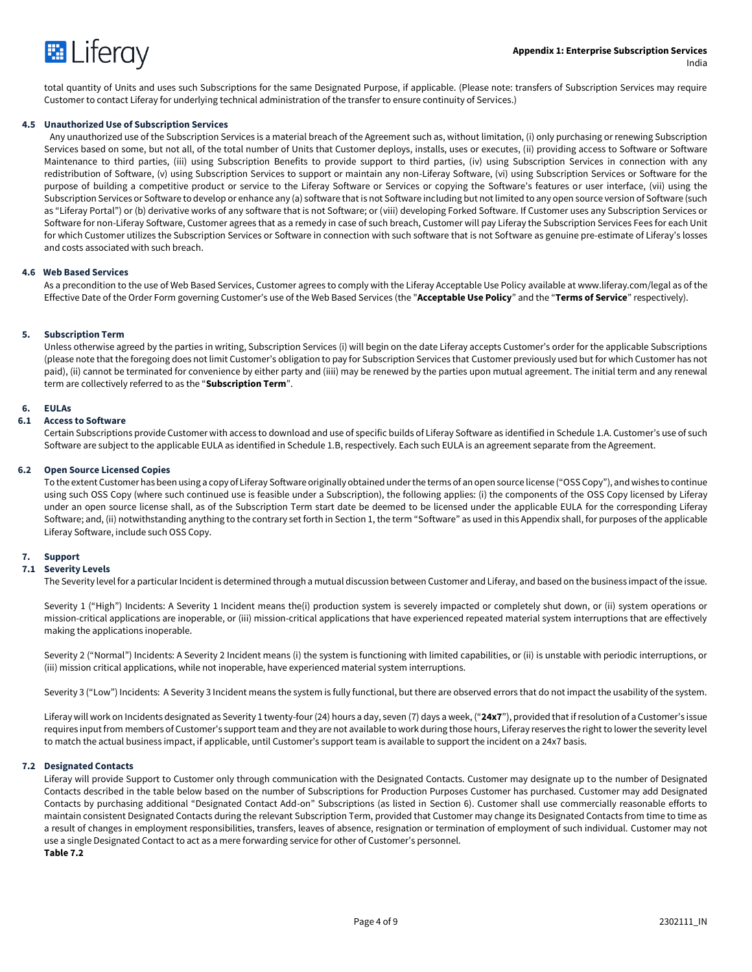

total quantity of Units and uses such Subscriptions for the same Designated Purpose, if applicable. (Please note: transfers of Subscription Services may require Customer to contact Liferay for underlying technical administration of the transfer to ensure continuity of Services.)

#### **4.5 Unauthorized Use of Subscription Services**

Any unauthorized use of the Subscription Services is a material breach of the Agreement such as, without limitation, (i) only purchasing or renewing Subscription Services based on some, but not all, of the total number of Units that Customer deploys, installs, uses or executes, (ii) providing access to Software or Software Maintenance to third parties, (iii) using Subscription Benefits to provide support to third parties, (iv) using Subscription Services in connection with any redistribution of Software, (v) using Subscription Services to support or maintain any non-Liferay Software, (vi) using Subscription Services or Software for the purpose of building a competitive product or service to the Liferay Software or Services or copying the Software's features or user interface, (vii) using the Subscription Services or Software to develop or enhance any (a) software that is not Software including but not limited to any open source version of Software (such as "Liferay Portal") or (b) derivative works of any software that is not Software; or (viii) developing Forked Software. If Customer uses any Subscription Services or Software for non-Liferay Software, Customer agrees that as a remedy in case of such breach, Customer will pay Liferay the Subscription Services Fees for each Unit for which Customer utilizes the Subscription Services or Software in connection with such software that is not Software as genuine pre-estimate of Liferay's losses and costs associated with such breach.

#### **4.6 Web Based Services**

As a precondition to the use of Web Based Services, Customer agrees to comply with the Liferay Acceptable Use Policy available at www.liferay.com/legal as of the Effective Date of the Order Form governing Customer's use of the Web Based Services (the "**Acceptable Use Policy**" and the "**Terms of Service**" respectively).

#### **5. Subscription Term**

Unless otherwise agreed by the parties in writing, Subscription Services (i) will begin on the date Liferay accepts Customer's order for the applicable Subscriptions (please note that the foregoing does not limit Customer's obligation to pay for Subscription Services that Customer previously used but for which Customer has not paid), (ii) cannot be terminated for convenience by either party and (iiii) may be renewed by the parties upon mutual agreement. The initial term and any renewal term are collectively referred to as the "**Subscription Term**".

#### **6. EULAs**

#### **6.1 Access to Software**

Certain Subscriptions provide Customer with access to download and use of specific builds of Liferay Software as identified in Schedule 1.A. Customer's use of such Software are subject to the applicable EULA as identified in Schedule 1.B, respectively. Each such EULA is an agreement separate from the Agreement.

#### **6.2 Open Source Licensed Copies**

To the extent Customer has been using a copy of Liferay Software originally obtained under the terms of an open source license ("OSS Copy"), and wishes to continue using such OSS Copy (where such continued use is feasible under a Subscription), the following applies: (i) the components of the OSS Copy licensed by Liferay under an open source license shall, as of the Subscription Term start date be deemed to be licensed under the applicable EULA for the corresponding Liferay Software; and, (ii) notwithstanding anything to the contrary set forth in Section 1, the term "Software" as used in this Appendix shall, for purposes of the applicable Liferay Software, include such OSS Copy.

#### **7. Support**

#### **7.1 Severity Levels**

The Severity level for a particular Incident is determined through a mutual discussion between Customer and Liferay, and based on the business impact of the issue.

Severity 1 ("High") Incidents: A Severity 1 Incident means the(i) production system is severely impacted or completely shut down, or (ii) system operations or mission-critical applications are inoperable, or (iii) mission-critical applications that have experienced repeated material system interruptions that are effectively making the applications inoperable.

Severity 2 ("Normal") Incidents: A Severity 2 Incident means (i) the system is functioning with limited capabilities, or (ii) is unstable with periodic interruptions, or (iii) mission critical applications, while not inoperable, have experienced material system interruptions.

Severity 3 ("Low") Incidents: A Severity 3 Incident means the system is fully functional, but there are observed errors that do not impact the usability of the system.

Liferay will work on Incidents designated as Severity 1 twenty-four (24) hours a day, seven (7) days a week, ("**24x7**"), provided that if resolution of a Customer's issue requires input from members of Customer's support team and they are not available to work during those hours, Liferay reserves the right to lower the severity level to match the actual business impact, if applicable, until Customer's support team is available to support the incident on a 24x7 basis.

#### **7.2 Designated Contacts**

Liferay will provide Support to Customer only through communication with the Designated Contacts. Customer may designate up to the number of Designated Contacts described in the table below based on the number of Subscriptions for Production Purposes Customer has purchased. Customer may add Designated Contacts by purchasing additional "Designated Contact Add-on" Subscriptions (as listed in Section 6). Customer shall use commercially reasonable efforts to maintain consistent Designated Contacts during the relevant Subscription Term, provided that Customer may change its Designated Contacts from time to time as a result of changes in employment responsibilities, transfers, leaves of absence, resignation or termination of employment of such individual. Customer may not use a single Designated Contact to act as a mere forwarding service for other of Customer's personnel. **Table 7.2**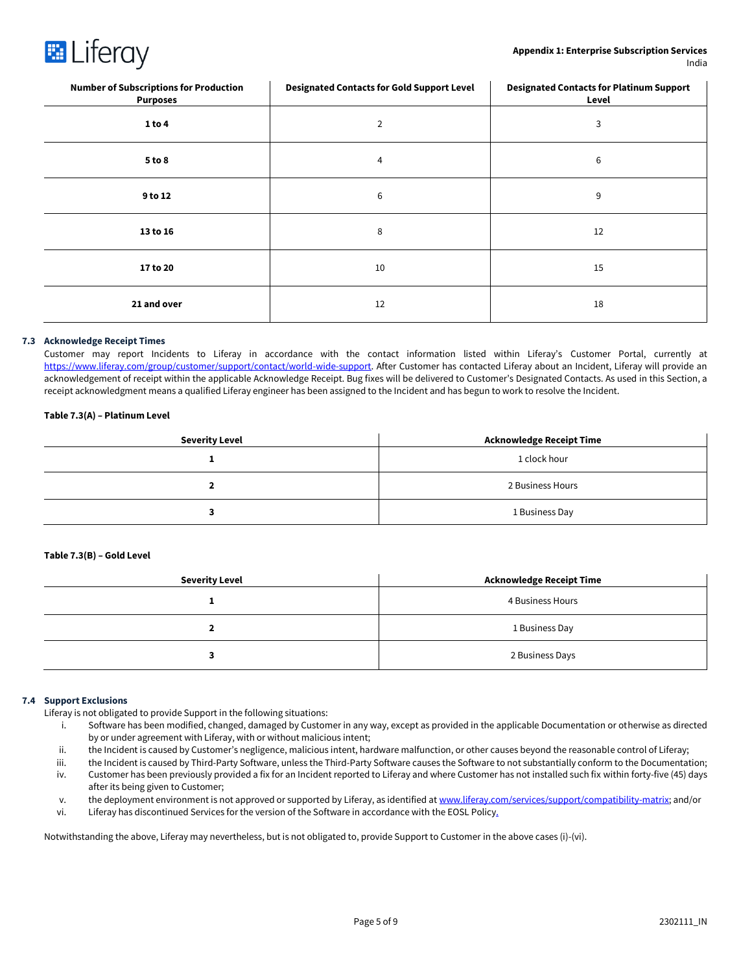

| <b>Number of Subscriptions for Production</b><br><b>Purposes</b> | <b>Designated Contacts for Gold Support Level</b> | <b>Designated Contacts for Platinum Support</b><br>Level |
|------------------------------------------------------------------|---------------------------------------------------|----------------------------------------------------------|
| 1 to 4                                                           | 2                                                 | 3                                                        |
| 5 to 8                                                           | 4                                                 | 6                                                        |
| 9 to 12                                                          | 6                                                 | 9                                                        |
| 13 to 16                                                         | 8                                                 | 12                                                       |
| 17 to 20                                                         | 10                                                | 15                                                       |
| 21 and over                                                      | 12                                                | 18                                                       |

#### **7.3 Acknowledge Receipt Times**

Customer may report Incidents to Liferay in accordance with the contact information listed within Liferay's Customer Portal, currently at [https://www.liferay.com/group/customer/support/contact/world-wide-support.](https://www.liferay.com/group/customer/support/contact/world-wide-support) After Customer has contacted Liferay about an Incident, Liferay will provide an acknowledgement of receipt within the applicable Acknowledge Receipt. Bug fixes will be delivered to Customer's Designated Contacts. As used in this Section, a receipt acknowledgment means a qualified Liferay engineer has been assigned to the Incident and has begun to work to resolve the Incident.

#### **Table 7.3(A) – Platinum Level**

| <b>Severity Level</b> | <b>Acknowledge Receipt Time</b> |
|-----------------------|---------------------------------|
|                       | 1 clock hour                    |
|                       | 2 Business Hours                |
|                       | 1 Business Day                  |

#### **Table 7.3(B) – Gold Level**

| <b>Severity Level</b> | <b>Acknowledge Receipt Time</b> |
|-----------------------|---------------------------------|
|                       | 4 Business Hours                |
|                       | 1 Business Day                  |
|                       | 2 Business Days                 |

#### **7.4 Support Exclusions**

Liferay is not obligated to provide Support in the following situations:

- i. Software has been modified, changed, damaged by Customer in any way, except as provided in the applicable Documentation or otherwise as directed by or under agreement with Liferay, with or without malicious intent;
- ii. the Incident is caused by Customer's negligence, malicious intent, hardware malfunction, or other causes beyond the reasonable control of Liferay;
- iii. the Incident is caused by Third-Party Software, unless the Third-Party Software causes the Software to not substantially conform to the Documentation; iv. Customer has been previously provided a fix for an Incident reported to Liferay and where Customer has not installed such fix within forty-five (45) days after its being given to Customer;
- v. the deployment environment is not approved or supported by Liferay, as identified at [www.liferay.com/services/support/compatibility-matrix;](http://www.liferay.com/services/support/compatibility-matrix) and/or
- vi. Liferay has discontinued Services for the version of the Software in accordance with the EOSL Policy.

Notwithstanding the above, Liferay may nevertheless, but is not obligated to, provide Support to Customer in the above cases (i)-(vi).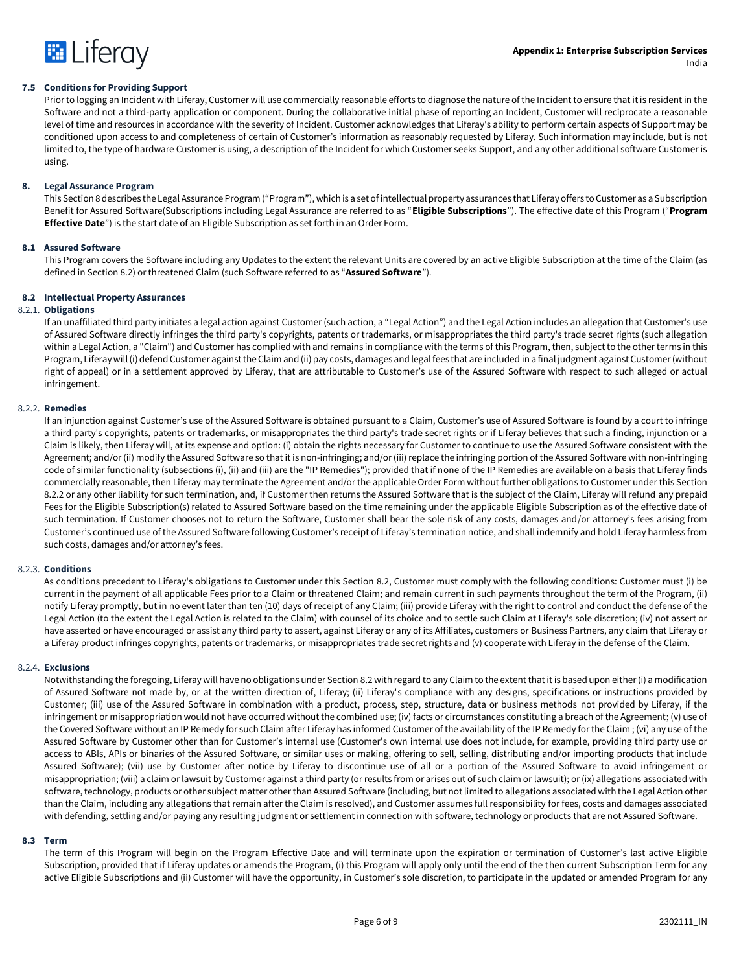

#### **7.5 Conditions for Providing Support**

Prior to logging an Incident with Liferay, Customer will use commercially reasonable efforts to diagnose the nature of the Incident to ensure that it is resident in the Software and not a third-party application or component. During the collaborative initial phase of reporting an Incident, Customer will reciprocate a reasonable level of time and resources in accordance with the severity of Incident. Customer acknowledges that Liferay's ability to perform certain aspects of Support may be conditioned upon access to and completeness of certain of Customer's information as reasonably requested by Liferay. Such information may include, but is not limited to, the type of hardware Customer is using, a description of the Incident for which Customer seeks Support, and any other additional software Customer is using.

#### **8. Legal Assurance Program**

This Section 8 describes the Legal Assurance Program ("Program"), which is a set of intellectual property assurances that Liferay offers to Customer as a Subscription Benefit for Assured Software(Subscriptions including Legal Assurance are referred to as "**Eligible Subscriptions**"). The effective date of this Program ("**Program Effective Date**") is the start date of an Eligible Subscription as set forth in an Order Form.

#### **8.1 Assured Software**

This Program covers the Software including any Updates to the extent the relevant Units are covered by an active Eligible Subscription at the time of the Claim (as defined in Section 8.2) or threatened Claim (such Software referred to as "**Assured Software**").

#### **8.2 Intellectual Property Assurances**

#### 8.2.1. **Obligations**

If an unaffiliated third party initiates a legal action against Customer (such action, a "Legal Action") and the Legal Action includes an allegation that Customer's use of Assured Software directly infringes the third party's copyrights, patents or trademarks, or misappropriates the third party's trade secret rights (such allegation within a Legal Action, a "Claim") and Customer has complied with and remains in compliance with the terms of this Program, then, subject to the other terms in this Program, Liferay will (i) defend Customer against the Claim and (ii) pay costs, damages and legal fees that are included in a final judgment against Customer (without right of appeal) or in a settlement approved by Liferay, that are attributable to Customer's use of the Assured Software with respect to such alleged or actual infringement.

#### 8.2.2. **Remedies**

If an injunction against Customer's use of the Assured Software is obtained pursuant to a Claim, Customer's use of Assured Software is found by a court to infringe a third party's copyrights, patents or trademarks, or misappropriates the third party's trade secret rights or if Liferay believes that such a finding, injunction or a Claim is likely, then Liferay will, at its expense and option: (i) obtain the rights necessary for Customer to continue to use the Assured Software consistent with the Agreement; and/or (ii) modify the Assured Software so that it is non-infringing; and/or (iii) replace the infringing portion of the Assured Software with non-infringing code of similar functionality (subsections (i), (ii) and (iii) are the "IP Remedies"); provided that if none of the IP Remedies are available on a basis that Liferay finds commercially reasonable, then Liferay may terminate the Agreement and/or the applicable Order Form without further obligations to Customer under this Section 8.2.2 or any other liability for such termination, and, if Customer then returns the Assured Software that is the subject of the Claim, Liferay will refund any prepaid Fees for the Eligible Subscription(s) related to Assured Software based on the time remaining under the applicable Eligible Subscription as of the effective date of such termination. If Customer chooses not to return the Software, Customer shall bear the sole risk of any costs, damages and/or attorney's fees arising from Customer's continued use of the Assured Software following Customer's receipt of Liferay's termination notice, and shall indemnify and hold Liferay harmless from such costs, damages and/or attorney's fees.

#### 8.2.3. **Conditions**

As conditions precedent to Liferay's obligations to Customer under this Section 8.2, Customer must comply with the following conditions: Customer must (i) be current in the payment of all applicable Fees prior to a Claim or threatened Claim; and remain current in such payments throughout the term of the Program, (ii) notify Liferay promptly, but in no event later than ten (10) days of receipt of any Claim; (iii) provide Liferay with the right to control and conduct the defense of the Legal Action (to the extent the Legal Action is related to the Claim) with counsel of its choice and to settle such Claim at Liferay's sole discretion; (iv) not assert or have asserted or have encouraged or assist any third party to assert, against Liferay or any of its Affiliates, customers or Business Partners, any claim that Liferay or a Liferay product infringes copyrights, patents or trademarks, or misappropriates trade secret rights and (v) cooperate with Liferay in the defense of the Claim.

#### 8.2.4. **Exclusions**

Notwithstanding the foregoing, Liferay will have no obligations under Section 8.2 with regard to any Claim to the extent that it is based upon either (i) a modification of Assured Software not made by, or at the written direction of, Liferay; (ii) Liferay's compliance with any designs, specifications or instructions provided by Customer; (iii) use of the Assured Software in combination with a product, process, step, structure, data or business methods not provided by Liferay, if the infringement or misappropriation would not have occurred without the combined use; (iv) facts or circumstances constituting a breach of the Agreement; (v) use of the Covered Software without an IP Remedy for such Claim after Liferay has informed Customer of the availability of the IP Remedy for the Claim ; (vi) any use of the Assured Software by Customer other than for Customer's internal use (Customer's own internal use does not include, for example, providing third party use or access to ABIs, APIs or binaries of the Assured Software, or similar uses or making, offering to sell, selling, distributing and/or importing products that include Assured Software); (vii) use by Customer after notice by Liferay to discontinue use of all or a portion of the Assured Software to avoid infringement or misappropriation; (viii) a claim or lawsuit by Customer against a third party (or results from or arises out of such claim or lawsuit); or (ix) allegations associated with software, technology, products or other subject matter other than Assured Software (including, but not limited to allegations associated with the Legal Action other than the Claim, including any allegations that remain after the Claim is resolved), and Customer assumes full responsibility for fees, costs and damages associated with defending, settling and/or paying any resulting judgment or settlement in connection with software, technology or products that are not Assured Software.

#### **8.3 Term**

The term of this Program will begin on the Program Effective Date and will terminate upon the expiration or termination of Customer's last active Eligible Subscription, provided that if Liferay updates or amends the Program, (i) this Program will apply only until the end of the then current Subscription Term for any active Eligible Subscriptions and (ii) Customer will have the opportunity, in Customer's sole discretion, to participate in the updated or amended Program for any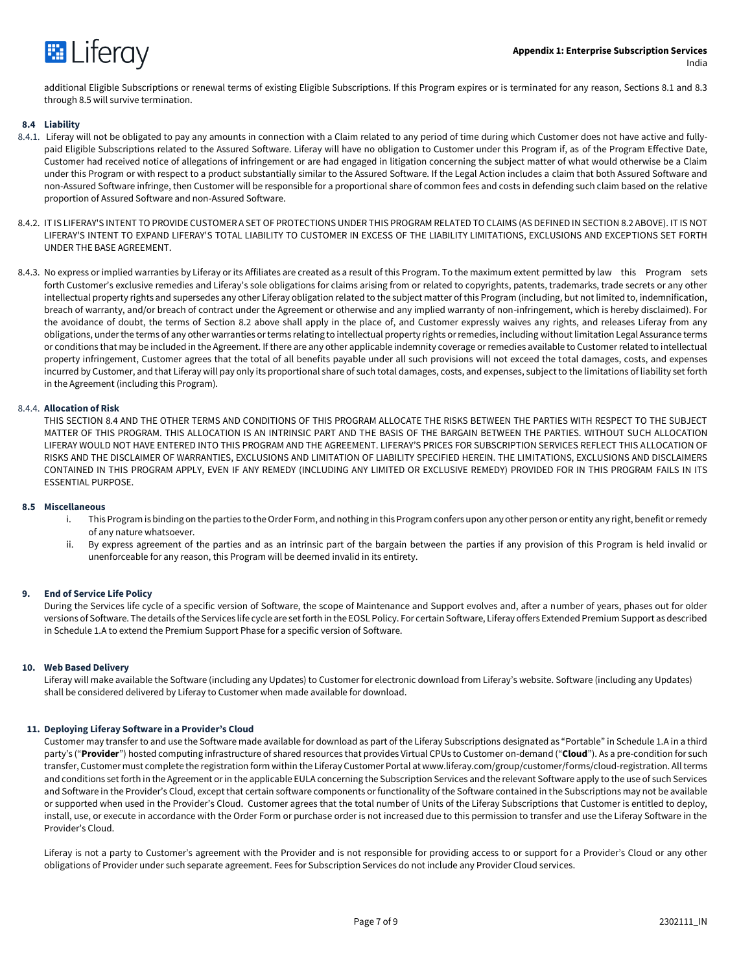

additional Eligible Subscriptions or renewal terms of existing Eligible Subscriptions. If this Program expires or is terminated for any reason, Sections 8.1 and 8.3 through 8.5 will survive termination.

#### **8.4 Liability**

- 8.4.1. Liferay will not be obligated to pay any amounts in connection with a Claim related to any period of time during which Customer does not have active and fullypaid Eligible Subscriptions related to the Assured Software. Liferay will have no obligation to Customer under this Program if, as of the Program Effective Date, Customer had received notice of allegations of infringement or are had engaged in litigation concerning the subject matter of what would otherwise be a Claim under this Program or with respect to a product substantially similar to the Assured Software. If the Legal Action includes a claim that both Assured Software and non-Assured Software infringe, then Customer will be responsible for a proportional share of common fees and costs in defending such claim based on the relative proportion of Assured Software and non-Assured Software.
- 8.4.2. IT IS LIFERAY'S INTENT TO PROVIDE CUSTOMER A SET OF PROTECTIONS UNDER THIS PROGRAM RELATED TO CLAIMS (AS DEFINED IN SECTION 8.2 ABOVE). IT IS NOT LIFERAY'S INTENT TO EXPAND LIFERAY'S TOTAL LIABILITY TO CUSTOMER IN EXCESS OF THE LIABILITY LIMITATIONS, EXCLUSIONS AND EXCEPTIONS SET FORTH UNDER THE BASE AGREEMENT.
- 8.4.3. No express or implied warranties by Liferay or its Affiliates are created as a result of this Program. To the maximum extent permitted by law this Program sets forth Customer's exclusive remedies and Liferay's sole obligations for claims arising from or related to copyrights, patents, trademarks, trade secrets or any other intellectual property rights and supersedes any other Liferay obligation related to the subject matter of this Program (including, but not limited to, indemnification, breach of warranty, and/or breach of contract under the Agreement or otherwise and any implied warranty of non-infringement, which is hereby disclaimed). For the avoidance of doubt, the terms of Section 8.2 above shall apply in the place of, and Customer expressly waives any rights, and releases Liferay from any obligations, under the terms of any other warranties or terms relating to intellectual property rights or remedies, including without limitation Legal Assurance terms or conditions that may be included in the Agreement. If there are any other applicable indemnity coverage or remedies available to Customer related to intellectual property infringement, Customer agrees that the total of all benefits payable under all such provisions will not exceed the total damages, costs, and expenses incurred by Customer, and that Liferay will pay only its proportional share of such total damages, costs, and expenses, subject to the limitations of liability set forth in the Agreement (including this Program).

#### 8.4.4. **Allocation of Risk**

THIS SECTION 8.4 AND THE OTHER TERMS AND CONDITIONS OF THIS PROGRAM ALLOCATE THE RISKS BETWEEN THE PARTIES WITH RESPECT TO THE SUBJECT MATTER OF THIS PROGRAM. THIS ALLOCATION IS AN INTRINSIC PART AND THE BASIS OF THE BARGAIN BETWEEN THE PARTIES. WITHOUT SUCH ALLOCATION LIFERAY WOULD NOT HAVE ENTERED INTO THIS PROGRAM AND THE AGREEMENT. LIFERAY'S PRICES FOR SUBSCRIPTION SERVICES REFLECT THIS ALLOCATION OF RISKS AND THE DISCLAIMER OF WARRANTIES, EXCLUSIONS AND LIMITATION OF LIABILITY SPECIFIED HEREIN. THE LIMITATIONS, EXCLUSIONS AND DISCLAIMERS CONTAINED IN THIS PROGRAM APPLY, EVEN IF ANY REMEDY (INCLUDING ANY LIMITED OR EXCLUSIVE REMEDY) PROVIDED FOR IN THIS PROGRAM FAILS IN ITS ESSENTIAL PURPOSE.

#### **8.5 Miscellaneous**

- i. This Program is binding on the parties to the Order Form, and nothing in this Program confers upon any other person or entity any right, benefit or remedy of any nature whatsoever.
- ii. By express agreement of the parties and as an intrinsic part of the bargain between the parties if any provision of this Program is held invalid or unenforceable for any reason, this Program will be deemed invalid in its entirety.

#### **9. End of Service Life Policy**

During the Services life cycle of a specific version of Software, the scope of Maintenance and Support evolves and, after a number of years, phases out for older versions of Software. The details of the Services life cycle are set forth in the EOSL Policy. For certain Software, Liferay offers Extended Premium Support as described in Schedule 1.A to extend the Premium Support Phase for a specific version of Software.

#### **10. Web Based Delivery**

Liferay will make available the Software (including any Updates) to Customer for electronic download from Liferay's website. Software (including any Updates) shall be considered delivered by Liferay to Customer when made available for download.

#### **11. Deploying Liferay Software in a Provider's Cloud**

Customer may transfer to and use the Software made available for download as part of the Liferay Subscriptions designated as "Portable" in Schedule 1.A in a third party's ("**Provider**") hosted computing infrastructure of shared resources that provides Virtual CPUs to Customer on-demand ("**Cloud**"). As a pre-condition for such transfer, Customer must complete the registration form within the Liferay Customer Portal at www.liferay.com/group/customer/forms/cloud-registration. All terms and conditions set forth in the Agreement or in the applicable EULA concerning the Subscription Services and the relevant Software apply to the use of such Services and Software in the Provider's Cloud, except that certain software components or functionality of the Software contained in the Subscriptions may not be available or supported when used in the Provider's Cloud. Customer agrees that the total number of Units of the Liferay Subscriptions that Customer is entitled to deploy, install, use, or execute in accordance with the Order Form or purchase order is not increased due to this permission to transfer and use the Liferay Software in the Provider's Cloud.

Liferay is not a party to Customer's agreement with the Provider and is not responsible for providing access to or support for a Provider's Cloud or any other obligations of Provider under such separate agreement. Fees for Subscription Services do not include any Provider Cloud services.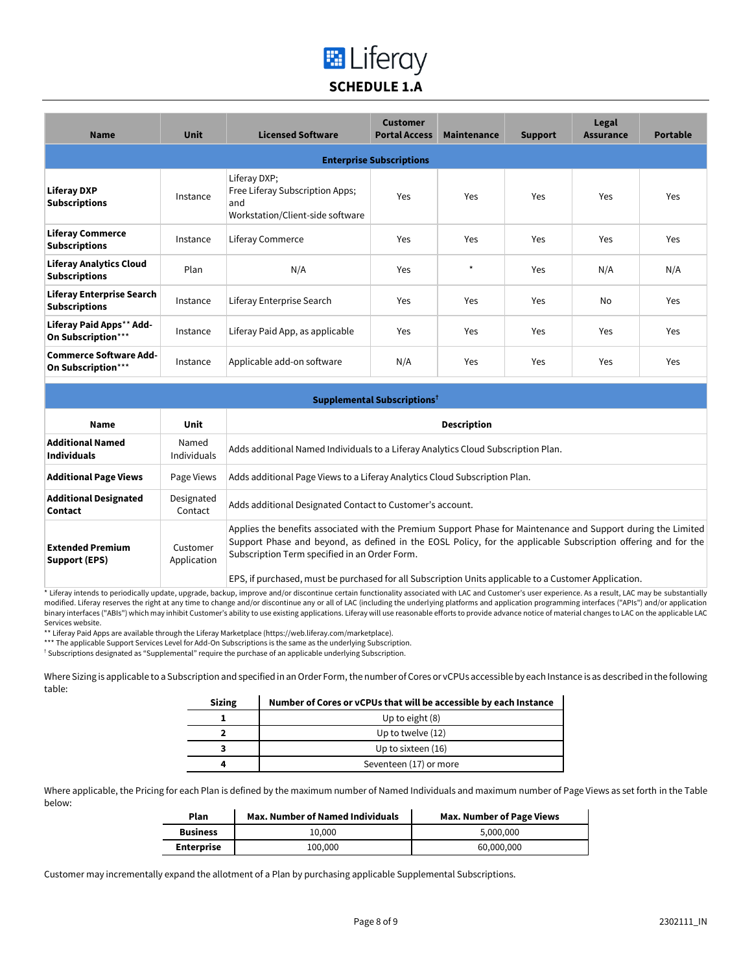## **E** Liferay **SCHEDULE 1.A**

| <b>Name</b>                                            | <b>Unit</b> | <b>Licensed Software</b>                                                                   | <b>Customer</b><br><b>Portal Access</b> | <b>Maintenance</b> | <b>Support</b> | Legal<br><b>Assurance</b> | <b>Portable</b> |
|--------------------------------------------------------|-------------|--------------------------------------------------------------------------------------------|-----------------------------------------|--------------------|----------------|---------------------------|-----------------|
|                                                        |             |                                                                                            | <b>Enterprise Subscriptions</b>         |                    |                |                           |                 |
| <b>Liferay DXP</b><br><b>Subscriptions</b>             | Instance    | Liferay DXP;<br>Free Liferay Subscription Apps;<br>and<br>Workstation/Client-side software | Yes                                     | Yes                | Yes            | Yes                       | Yes             |
| <b>Liferay Commerce</b><br><b>Subscriptions</b>        | Instance    | Liferay Commerce                                                                           | Yes                                     | Yes                | Yes            | Yes                       | Yes             |
| <b>Liferay Analytics Cloud</b><br><b>Subscriptions</b> | Plan        | N/A                                                                                        | Yes                                     | $\star$            | Yes            | N/A                       | N/A             |
| Liferay Enterprise Search<br><b>Subscriptions</b>      | Instance    | Liferay Enterprise Search                                                                  | Yes                                     | Yes                | Yes            | No                        | Yes             |
| Liferay Paid Apps** Add-<br>On Subscription***         | Instance    | Liferay Paid App, as applicable                                                            | Yes                                     | Yes                | Yes            | Yes                       | Yes             |
| <b>Commerce Software Add-</b><br>On Subscription***    | Instance    | Applicable add-on software                                                                 | N/A                                     | Yes                | Yes            | Yes                       | <b>Yes</b>      |

| Supplemental Subscriptions <sup>†</sup>       |                             |                                                                                                                                                                                                                                                                                                                                                                                                                                                                                                                         |
|-----------------------------------------------|-----------------------------|-------------------------------------------------------------------------------------------------------------------------------------------------------------------------------------------------------------------------------------------------------------------------------------------------------------------------------------------------------------------------------------------------------------------------------------------------------------------------------------------------------------------------|
| Name                                          | Unit                        | <b>Description</b>                                                                                                                                                                                                                                                                                                                                                                                                                                                                                                      |
| <b>Additional Named</b><br><b>Individuals</b> | Named<br><b>Individuals</b> | Adds additional Named Individuals to a Liferay Analytics Cloud Subscription Plan.                                                                                                                                                                                                                                                                                                                                                                                                                                       |
| <b>Additional Page Views</b>                  | Page Views                  | Adds additional Page Views to a Liferay Analytics Cloud Subscription Plan.                                                                                                                                                                                                                                                                                                                                                                                                                                              |
| <b>Additional Designated</b><br>Contact       | Designated<br>Contact       | Adds additional Designated Contact to Customer's account.                                                                                                                                                                                                                                                                                                                                                                                                                                                               |
| <b>Extended Premium</b><br>Support (EPS)      | Customer<br>Application     | Applies the benefits associated with the Premium Support Phase for Maintenance and Support during the Limited<br>Support Phase and beyond, as defined in the EOSL Policy, for the applicable Subscription offering and for the<br>Subscription Term specified in an Order Form.<br>$\blacksquare$ . The contract of the contract of the contract of the contract of the contract of the contract of the contract of the contract of the contract of the contract of the contract of the contract of the contract of the |

EPS, if purchased, must be purchased for all Subscription Units applicable to a Customer Application.

\* Liferay intends to periodically update, upgrade, backup, improve and/or discontinue certain functionality associated with LAC and Customer's user experience. As a result, LAC may be substantially modified. Liferay reserves the right at any time to change and/or discontinue any or all of LAC (including the underlying platforms and application programming interfaces ("APIs") and/or application binary interfaces ("ABIs") which may inhibit Customer's ability to use existing applications. Liferay will use reasonable efforts to provide advance notice of material changes to LAC on the applicable LAC Services website.

\*\* Liferay Paid Apps are available through the Liferay Marketplace (https://web.liferay.com/marketplace).

\*\*\* The applicable Support Services Level for Add-On Subscriptions is the same as the underlying Subscription.

† Subscriptions designated as "Supplemental" require the purchase of an applicable underlying Subscription.

Where Sizing is applicable to a Subscription and specified in an Order Form, the number of Cores or vCPUs accessible by each Instance is as described in the following table:

| <b>Sizing</b> | Number of Cores or vCPUs that will be accessible by each Instance |  |
|---------------|-------------------------------------------------------------------|--|
|               | Up to eight (8)                                                   |  |
|               | Up to twelve (12)                                                 |  |
|               | Up to sixteen (16)                                                |  |
|               | Seventeen (17) or more                                            |  |

Where applicable, the Pricing for each Plan is defined by the maximum number of Named Individuals and maximum number of Page Views as set forth in the Table below:

| Plan              | <b>Max. Number of Named Individuals</b> | Max. Number of Page Views |  |
|-------------------|-----------------------------------------|---------------------------|--|
| <b>Business</b>   | 10.000                                  | 5.000.000                 |  |
| <b>Enterprise</b> | 100,000                                 | 60,000,000                |  |

Customer may incrementally expand the allotment of a Plan by purchasing applicable Supplemental Subscriptions.